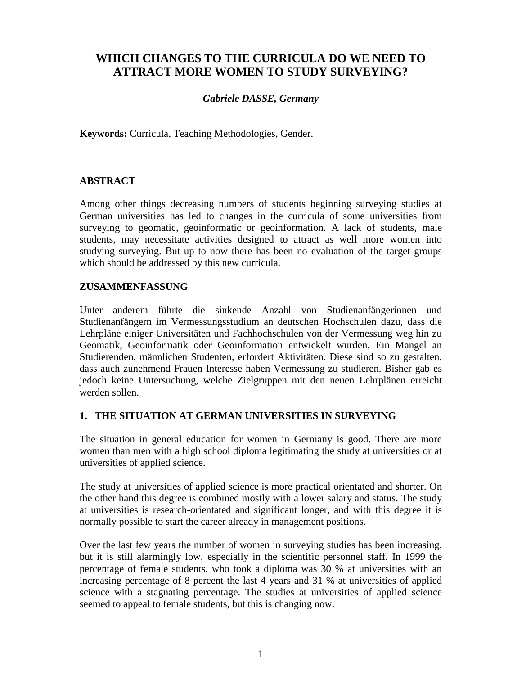# **WHICH CHANGES TO THE CURRICULA DO WE NEED TO ATTRACT MORE WOMEN TO STUDY SURVEYING?**

## *Gabriele DASSE, Germany*

**Keywords:** Curricula, Teaching Methodologies, Gender.

#### **ABSTRACT**

Among other things decreasing numbers of students beginning surveying studies at German universities has led to changes in the curricula of some universities from surveying to geomatic, geoinformatic or geoinformation. A lack of students, male students, may necessitate activities designed to attract as well more women into studying surveying. But up to now there has been no evaluation of the target groups which should be addressed by this new curricula.

#### **ZUSAMMENFASSUNG**

Unter anderem führte die sinkende Anzahl von Studienanfängerinnen und Studienanfängern im Vermessungsstudium an deutschen Hochschulen dazu, dass die Lehrpläne einiger Universitäten und Fachhochschulen von der Vermessung weg hin zu Geomatik, Geoinformatik oder Geoinformation entwickelt wurden. Ein Mangel an Studierenden, männlichen Studenten, erfordert Aktivitäten. Diese sind so zu gestalten, dass auch zunehmend Frauen Interesse haben Vermessung zu studieren. Bisher gab es jedoch keine Untersuchung, welche Zielgruppen mit den neuen Lehrplänen erreicht werden sollen.

#### **1. THE SITUATION AT GERMAN UNIVERSITIES IN SURVEYING**

The situation in general education for women in Germany is good. There are more women than men with a high school diploma legitimating the study at universities or at universities of applied science.

The study at universities of applied science is more practical orientated and shorter. On the other hand this degree is combined mostly with a lower salary and status. The study at universities is research-orientated and significant longer, and with this degree it is normally possible to start the career already in management positions.

Over the last few years the number of women in surveying studies has been increasing, but it is still alarmingly low, especially in the scientific personnel staff. In 1999 the percentage of female students, who took a diploma was 30 % at universities with an increasing percentage of 8 percent the last 4 years and 31 % at universities of applied science with a stagnating percentage. The studies at universities of applied science seemed to appeal to female students, but this is changing now.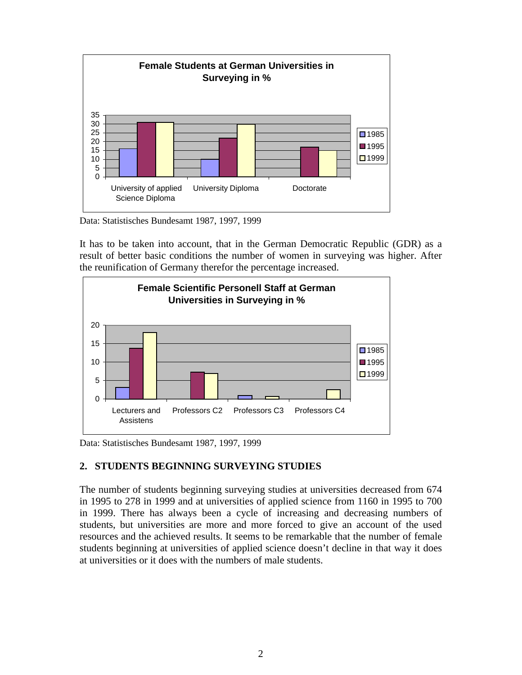

Data: Statistisches Bundesamt 1987, 1997, 1999

It has to be taken into account, that in the German Democratic Republic (GDR) as a result of better basic conditions the number of women in surveying was higher. After the reunification of Germany therefor the percentage increased.



Data: Statistisches Bundesamt 1987, 1997, 1999

## **2. STUDENTS BEGINNING SURVEYING STUDIES**

The number of students beginning surveying studies at universities decreased from 674 in 1995 to 278 in 1999 and at universities of applied science from 1160 in 1995 to 700 in 1999. There has always been a cycle of increasing and decreasing numbers of students, but universities are more and more forced to give an account of the used resources and the achieved results. It seems to be remarkable that the number of female students beginning at universities of applied science doesn't decline in that way it does at universities or it does with the numbers of male students.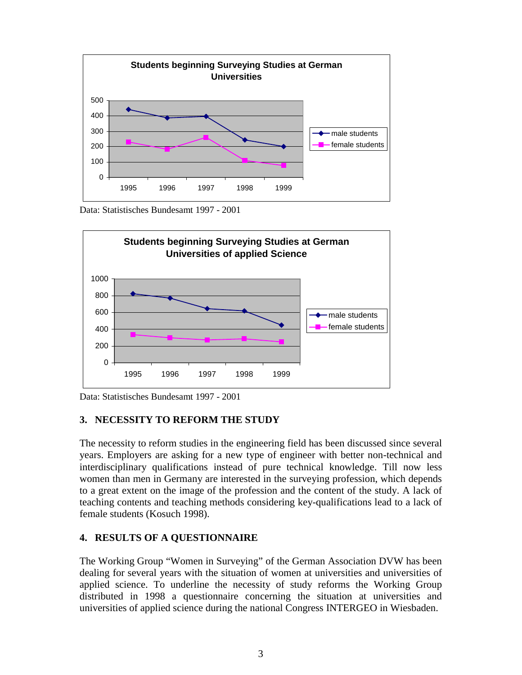

Data: Statistisches Bundesamt 1997 - 2001



Data: Statistisches Bundesamt 1997 - 2001

## **3. NECESSITY TO REFORM THE STUDY**

The necessity to reform studies in the engineering field has been discussed since several years. Employers are asking for a new type of engineer with better non-technical and interdisciplinary qualifications instead of pure technical knowledge. Till now less women than men in Germany are interested in the surveying profession, which depends to a great extent on the image of the profession and the content of the study. A lack of teaching contents and teaching methods considering key-qualifications lead to a lack of female students (Kosuch 1998).

#### **4. RESULTS OF A QUESTIONNAIRE**

The Working Group "Women in Surveying" of the German Association DVW has been dealing for several years with the situation of women at universities and universities of applied science. To underline the necessity of study reforms the Working Group distributed in 1998 a questionnaire concerning the situation at universities and universities of applied science during the national Congress INTERGEO in Wiesbaden.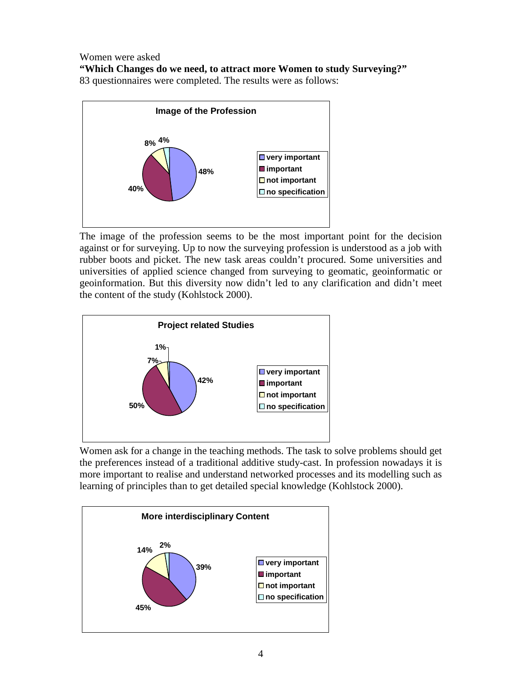Women were asked **"Which Changes do we need, to attract more Women to study Surveying?"** 83 questionnaires were completed. The results were as follows:



The image of the profession seems to be the most important point for the decision against or for surveying. Up to now the surveying profession is understood as a job with rubber boots and picket. The new task areas couldn't procured. Some universities and universities of applied science changed from surveying to geomatic, geoinformatic or geoinformation. But this diversity now didn't led to any clarification and didn't meet the content of the study (Kohlstock 2000).



Women ask for a change in the teaching methods. The task to solve problems should get the preferences instead of a traditional additive study-cast. In profession nowadays it is more important to realise and understand networked processes and its modelling such as learning of principles than to get detailed special knowledge (Kohlstock 2000).

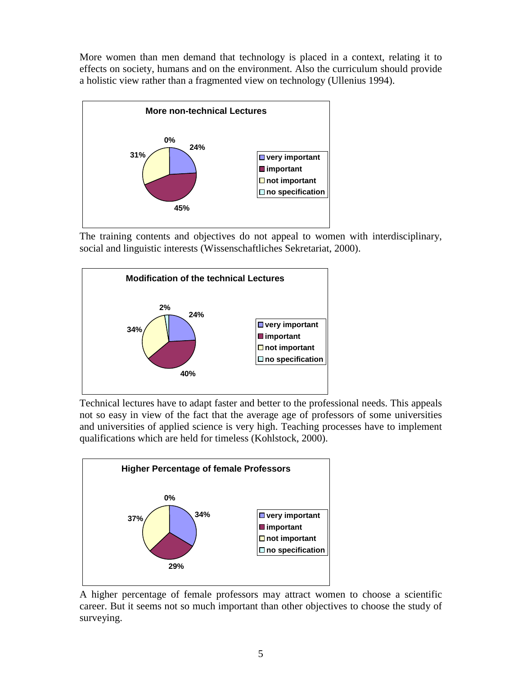More women than men demand that technology is placed in a context, relating it to effects on society, humans and on the environment. Also the curriculum should provide a holistic view rather than a fragmented view on technology (Ullenius 1994).



The training contents and objectives do not appeal to women with interdisciplinary, social and linguistic interests (Wissenschaftliches Sekretariat, 2000).



Technical lectures have to adapt faster and better to the professional needs. This appeals not so easy in view of the fact that the average age of professors of some universities and universities of applied science is very high. Teaching processes have to implement qualifications which are held for timeless (Kohlstock, 2000).



A higher percentage of female professors may attract women to choose a scientific career. But it seems not so much important than other objectives to choose the study of surveying.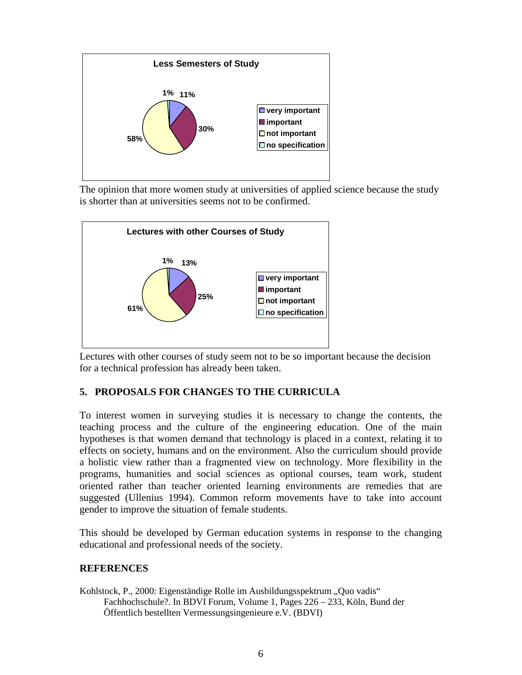

The opinion that more women study at universities of applied science because the study is shorter than at universities seems not to be confirmed.



Lectures with other courses of study seem not to be so important because the decision for a technical profession has already been taken.

## **5. PROPOSALS FOR CHANGES TO THE CURRICULA**

To interest women in surveying studies it is necessary to change the contents, the teaching process and the culture of the engineering education. One of the main hypotheses is that women demand that technology is placed in a context, relating it to effects on society, humans and on the environment. Also the curriculum should provide a holistic view rather than a fragmented view on technology. More flexibility in the programs, humanities and social sciences as optional courses, team work, student oriented rather than teacher oriented learning environments are remedies that are suggested (Ullenius 1994). Common reform movements have to take into account gender to improve the situation of female students.

This should be developed by German education systems in response to the changing educational and professional needs of the society.

## **REFERENCES**

Kohlstock, P., 2000: Eigenständige Rolle im Ausbildungsspektrum "Quo vadis" Fachhochschule?. In BDVI Forum, Volume 1, Pages 226 – 233, Köln, Bund der Öffentlich bestellten Vermessungsingenieure e.V. (BDVI)